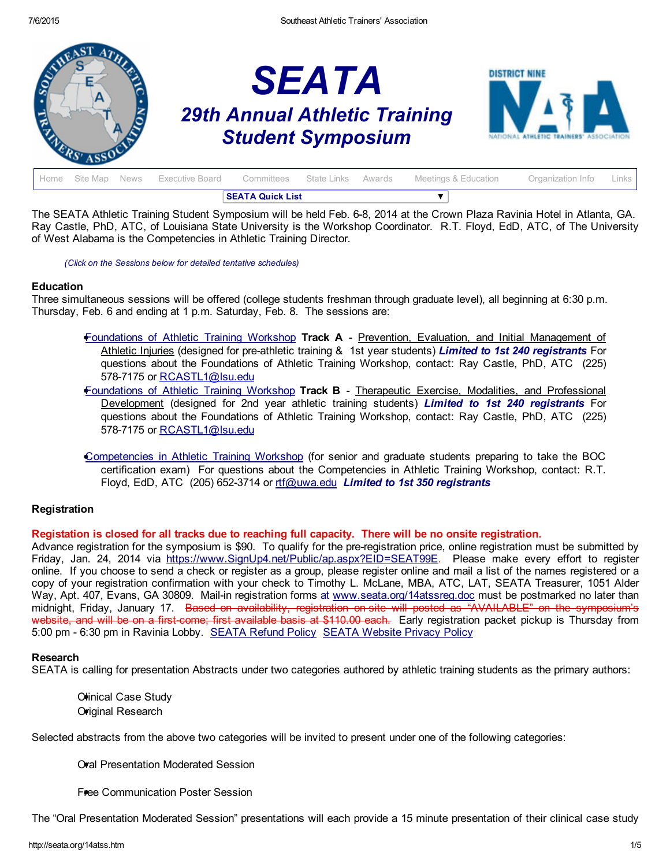

|        | <b>SEATA Quick List</b> |  |                 |                               |  |  |                      |                   |         |
|--------|-------------------------|--|-----------------|-------------------------------|--|--|----------------------|-------------------|---------|
| l Home | Site Map News           |  | Executive Board | Committees State Links Awards |  |  | Meetings & Education | Organization Info | Links I |

The SEATA Athletic Training Student Symposium will be held Feb. 6-8, 2014 at the Crown Plaza Ravinia Hotel in Atlanta, GA. Ray Castle, PhD, ATC, of Louisiana State University is the Workshop Coordinator. R.T. Floyd, EdD, ATC, of The University of West Alabama is the Competencies in Athletic Training Director.

*(Click on the Sessions below for detailed tentative schedules)*

#### **Education**

Three simultaneous sessions will be offered (college students freshman through graduate level), all beginning at 6:30 p.m. Thursday, Feb. 6 and ending at 1 p.m. Saturday, Feb. 8. The sessions are:

- [Foundations](#page-1-0) of Athletic Training Workshop Track A Prevention, Evaluation, and Initial Management of Athletic Injuries (designed for preathletic training & 1st year students) *Limited to 1st 240 registrants* For questions about the Foundations of Athletic Training Workshop, contact: Ray Castle, PhD, ATC (225) 578-7175 or [RCASTL1@lsu.edu](mailto:RCASTL1@lsu.edu)
- [Foundations](#page-1-0) of Athletic Training Workshop Track B Therapeutic Exercise, Modalities, and Professional Development (designed for 2nd year athletic training students) *Limited to 1st 240 registrants* For questions about the Foundations of Athletic Training Workshop, contact: Ray Castle, PhD, ATC (225) 578-7175 or [RCASTL1@lsu.edu](mailto:RCASTL1@lsu.edu)
- [Competencies](#page-3-0) in Athletic Training Workshop (for senior and graduate students preparing to take the BOC certification exam) For questions about the Competencies in Athletic Training Workshop, contact: R.T. Floyd, EdD, ATC (205) 6523714 or [rtf@uwa.edu](mailto:rtf@uwa.edu) *Limited to 1st 350 registrants*

## **Registration**

## Registation is closed for all tracks due to reaching full capacity. There will be no onsite registration.

Advance registration for the symposium is \$90. To qualify for the pre-registration price, online registration must be submitted by Friday, Jan. 24, 2014 via [https://www.SignUp4.net/Public/ap.aspx?EID=SEAT99E](https://www.signup4.net/Public/ap.aspx?EID=SEAT99E). Please make every effort to register online. If you choose to send a check or register as a group, please register online and mail a list of the names registered or a copy of your registration confirmation with your check to Timothy L. McLane, MBA, ATC, LAT, SEATA Treasurer, 1051 Alder Way, Apt. 407, Evans, GA 30809. Mail-in registration forms at [www.seata.org/14atssreg.doc](http://www.seata.org/14atssreg.doc) must be postmarked no later than midnight, Friday, January 17. Based on availability, registration on site will posted as "AVAILABLE" on the symposium's website, and will be on a first come; first available basis at \$110.00 each. Early registration packet pickup is Thursday from 5:00 pm 6:30 pm in Ravinia Lobby. [SEATA](http://seata.org/refund.htm) Refund Policy SEATA [Website](http://seata.org/privacy.htm) Privacy Policy

## Research

SEATA is calling for presentation Abstracts under two categories authored by athletic training students as the primary authors:

Chinical Case Study Original Research

Selected abstracts from the above two categories will be invited to present under one of the following categories:

Oral Presentation Moderated Session

Free Communication Poster Session

The "Oral Presentation Moderated Session" presentations will each provide a 15 minute presentation of their clinical case study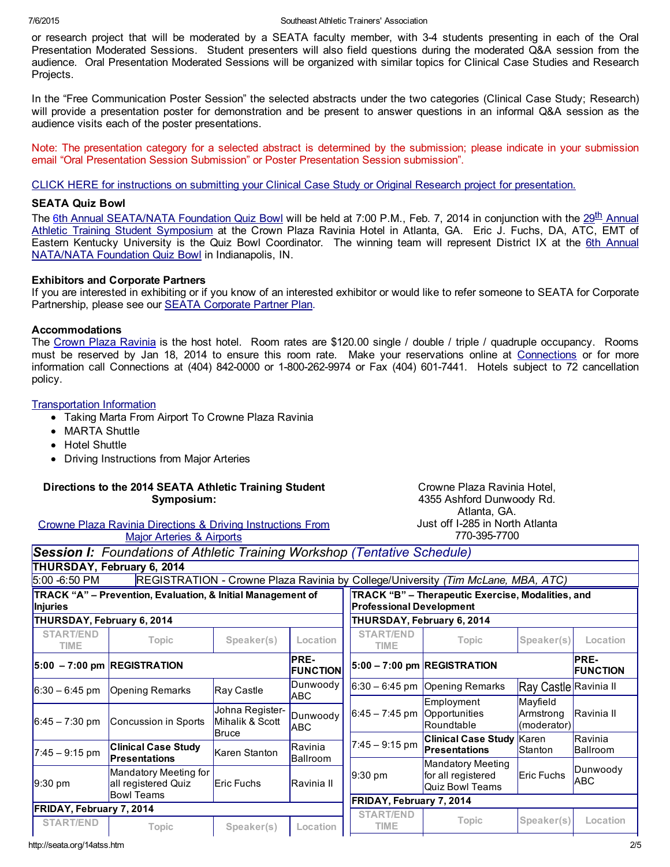or research project that will be moderated by a SEATA faculty member, with 34 students presenting in each of the Oral Presentation Moderated Sessions. Student presenters will also field questions during the moderated Q&A session from the audience. Oral Presentation Moderated Sessions will be organized with similar topics for Clinical Case Studies and Research Projects.

In the "Free Communication Poster Session" the selected abstracts under the two categories (Clinical Case Study; Research) will provide a presentation poster for demonstration and be present to answer questions in an informal Q&A session as the audience visits each of the poster presentations.

Note: The presentation category for a selected abstract is determined by the submission; please indicate in your submission email "Oral Presentation Session Submission" or Poster Presentation Session submission".

CLICK HERE for instructions on submitting your Clinical Case Study or Original Research project for [presentation.](http://seata.org/casestudy14.htm)

### SEATA Quiz Bowl

The [6](http://www.seata.org/14qb.htm)th Annual [SEATA/NATA](http://www.seata.org/14atss.htm) Foundation Quiz Bowl will be held at 7:00 P.M., Feb. 7, 2014 in conjunction with the 29<sup>th</sup> Annual Athletic Training Student Symposium at the Crown Plaza Ravinia Hotel in Atlanta, GA. Eric J. Fuchs, DA, ATC, EMT of Eastern Kentucky University is the Quiz Bowl Coordinator. The winning team will represent District IX at the 6th Annual [NATA/NATA](http://www.nata.org/students/college-athletic-training-students) Foundation Quiz Bowl in Indianapolis, IN.

## Exhibitors and Corporate Partners

If you are interested in exhibiting or if you know of an interested exhibitor or would like to refer someone to SEATA for Corporate Partnership, please see our SEATA [Corporate](http://www.seata.org/cpp.htm) Partner Plan.

#### Accommodations

The Crown Plaza [Ravinia](https://resweb.passkey.com/go/70ff9848) is the host hotel. Room rates are \$120.00 single / double / triple / quadruple occupancy. Rooms must be reserved by Jan 18, 2014 to ensure this room rate. Make your reservations online at [Connections](https://resweb.passkey.com/go/70ff9848) or for more information call Connections at (404) 842-0000 or 1-800-262-9974 or Fax (404) 601-7441. Hotels subject to 72 cancellation policy.

[Transportation](http://seata.org/07atss/MARTAtoCrownePlazafromAirport.doc) Information

- Taking Marta From Airport To Crowne Plaza Ravinia
- MARTA Shuttle
- Hotel Shuttle
- Driving Instructions from Major Arteries

#### Directions to the 2014 SEATA Athletic Training Student Symposium:

Crowne Plaza Ravinia Directions & Driving [Instructions](http://www.seata.org/drivingairports.htm) From Major Arteries & Airports

<span id="page-1-0"></span>*Session I: Foundations of Athletic Training Workshop (Tentative Schedule)*

Crowne Plaza Ravinia Hotel, 4355 Ashford Dunwoody Rd. Atlanta, GA. Just off I285 in North Atlanta 7703957700

|                                 | THURSDAY, February 6, 2014                                        |                                    |                                                                                      |                          |                                                            |                                      |                            |
|---------------------------------|-------------------------------------------------------------------|------------------------------------|--------------------------------------------------------------------------------------|--------------------------|------------------------------------------------------------|--------------------------------------|----------------------------|
| $5:00 - 6:50$ PM                | <b>REGISTRATION - Crowne Plaza Ravinia by</b>                     |                                    |                                                                                      |                          | College/University (Tim McLane, MBA, ATC)                  |                                      |                            |
| <b>Injuries</b>                 | TRACK "A" – Prevention, Evaluation, & Initial Management of       |                                    | TRACK "B" - Therapeutic Exercise, Modalities, and<br><b>Professional Development</b> |                          |                                                            |                                      |                            |
| THURSDAY, February 6, 2014      |                                                                   |                                    | THURSDAY, February 6, 2014                                                           |                          |                                                            |                                      |                            |
| <b>START/END</b><br>TIME        | <b>Topic</b>                                                      | Speaker(s)                         | Location                                                                             | <b>START/END</b><br>TIME | <b>Topic</b>                                               | Speaker(s)                           | Location                   |
| $ 5:00 - 7:00$ pm REGISTRATION  |                                                                   |                                    | <b>PRE-</b><br><b>FUNCTION</b>                                                       |                          | $ 5:00 - 7:00$ pm REGISTRATION                             |                                      | PRE-<br><b>FUNCTION</b>    |
| $ 6:30 - 6:45$ pm               | <b>Opening Remarks</b>                                            | Ray Castle                         | Dunwoody                                                                             |                          | $6:30 - 6:45$ pm Opening Remarks                           | Ray Castle Ravinia II                |                            |
| $6:45 - 7:30$ pm                | Concussion in Sports                                              | Johna Register-<br>Mihalik & Scott | ABC<br>Dunwoody<br><b>ABC</b>                                                        | $6:45 - 7:45$ pm         | Employment<br>Opportunities<br>Roundtable                  | Mayfield<br>Armstrong<br>(moderator) | Ravinia II                 |
| $7:45 - 9:15$ pm                | <b>Clinical Case Study</b><br><b>Presentations</b>                | <b>Bruce</b><br>Karen Stanton      | Ravinia<br><b>Ballroom</b>                                                           | $7:45 - 9:15$ pm         | <b>Clinical Case Study Karen</b><br><b>Presentations</b>   | Stanton                              | Ravinia<br><b>Ballroom</b> |
| $9:30 \text{ pm}$               | Mandatory Meeting for<br>all registered Quiz<br><b>Bowl Teams</b> | Eric Fuchs                         | <b>Ravinia</b> II                                                                    | $9:30 \text{ pm}$        | Mandatory Meeting<br>for all registered<br>Quiz Bowl Teams | Eric Fuchs                           | Dunwoody<br><b>ABC</b>     |
| <b>FRIDAY, February 7, 2014</b> |                                                                   |                                    | FRIDAY, February 7, 2014                                                             |                          |                                                            |                                      |                            |
| <b>START/END</b>                | <b>Topic</b>                                                      | Speaker(s)                         | Location                                                                             | <b>START/END</b><br>TIME | <b>Topic</b>                                               | Speaker(s)                           | Location                   |

http://seata.org/14atss.htm 2/5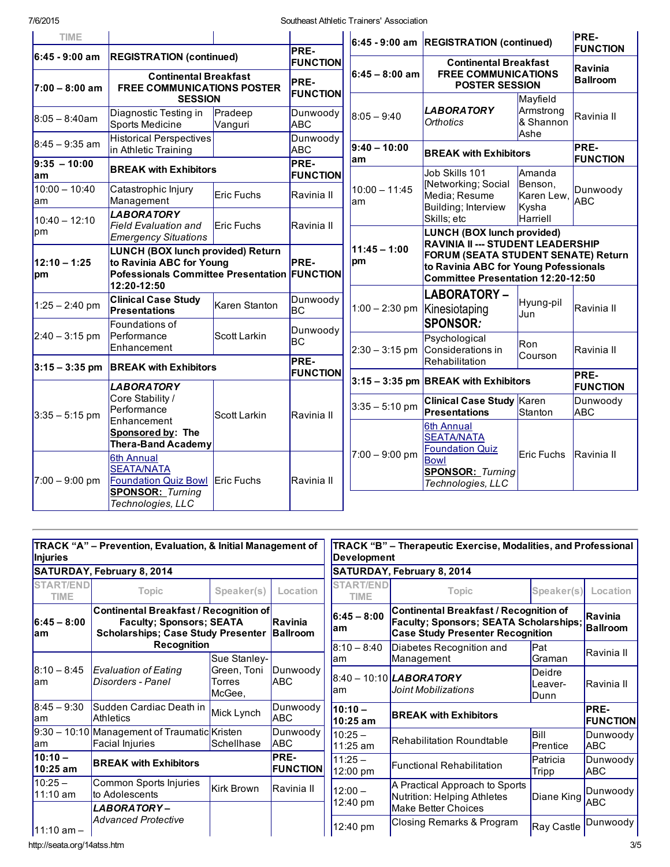| <b>TIME</b>                          |                                                                                                                              |                                              | <b>PRE-</b>                                        |                                                                                                                                                         | $6:45 - 9:00$ am REGISTRATION (continued)                                           |                                | <b>PRE-</b><br><b>FUNCTION</b>            |
|--------------------------------------|------------------------------------------------------------------------------------------------------------------------------|----------------------------------------------|----------------------------------------------------|---------------------------------------------------------------------------------------------------------------------------------------------------------|-------------------------------------------------------------------------------------|--------------------------------|-------------------------------------------|
| $6:45 - 9:00$ am<br>$7:00 - 8:00$ am | <b>REGISTRATION (continued)</b><br><b>Continental Breakfast</b><br><b>FREE COMMUNICATIONS POSTER</b>                         |                                              | <b>FUNCTION</b><br>$6:45 - 8:00$ am<br><b>PRE-</b> |                                                                                                                                                         | <b>Continental Breakfast</b><br><b>FREE COMMUNICATIONS</b><br><b>POSTER SESSION</b> |                                | Ravinia<br><b>Ballroom</b>                |
| $8:05 - 8:40$ am                     | <b>SESSION</b><br>Diagnostic Testing in                                                                                      | Pradeep                                      | <b>FUNCTION</b><br>Dunwoody                        | $8:05 - 9:40$                                                                                                                                           | <b>LABORATORY</b>                                                                   | Mayfield<br>Armstrong          | Ravinia II                                |
| $8:45 - 9:35$ am                     | Sports Medicine<br>Vanguri<br>Historical Perspectives                                                                        |                                              | <b>ABC</b><br>Dunwoody                             | $9:40 - 10:00$                                                                                                                                          | <b>Orthotics</b>                                                                    | & Shannon<br>Ashe              | PRE-                                      |
| $9:35 - 10:00$<br>am                 | in Athletic Training<br><b>BREAK with Exhibitors</b>                                                                         | <b>ABC</b><br><b>PRE-</b><br><b>FUNCTION</b> | lam                                                | <b>BREAK with Exhibitors</b><br>Job Skills 101                                                                                                          | Amanda                                                                              | <b>FUNCTION</b>                |                                           |
| $10:00 - 10:40$<br>am                | Catastrophic Injury<br>Management                                                                                            | <b>Eric Fuchs</b>                            | Ravinia II                                         | $10:00 - 11:45$<br>lam                                                                                                                                  | [Networking; Social<br>Media; Resume<br>Building; Interview                         | Benson,<br>Karen Lew,<br>Kysha | Dunwoody<br><b>ABC</b>                    |
| $10:40 - 12:10$<br>pm                | <b>LABORATORY</b><br><b>Field Evaluation and</b><br><b>Emergency Situations</b>                                              | Eric Fuchs                                   | Ravinia II                                         |                                                                                                                                                         | Skills; etc<br>LUNCH (BOX lunch provided)                                           | Harriell                       |                                           |
| $12:10 - 1:25$<br>pm                 | LUNCH (BOX lunch provided) Return<br>to Ravinia ABC for Young<br>Pofessionals Committee Presentation FUNCTION<br>12:20-12:50 | <b>PRE-</b>                                  | $11:45 - 1:00$<br>pm                               | RAVINIA II --- STUDENT LEADERSHIP<br>FORUM (SEATA STUDENT SENATE) Return<br>to Ravinia ABC for Young Pofessionals<br>Committee Presentation 12:20-12:50 |                                                                                     |                                |                                           |
| $1:25 - 2:40$ pm                     | <b>Clinical Case Study</b><br><b>Presentations</b>                                                                           | Karen Stanton                                | Dunwoody<br><b>BC</b>                              | 1:00 - 2:30 pm   Kinesiotaping                                                                                                                          | <b>LABORATORY-</b>                                                                  | Hyung-pil<br>Jun               | Ravinia II                                |
| $2:40 - 3:15$ pm                     | Foundations of<br>Performance<br>Enhancement                                                                                 | Scott Larkin                                 | Dunwoody<br>lBC                                    |                                                                                                                                                         | <b>SPONSOR:</b><br>Psychological<br>$2:30 - 3:15$ pm Considerations in              | Ron<br>Courson                 | Ravinia II                                |
|                                      |                                                                                                                              | $ 3:15 - 3:35$ pm BREAK with Exhibitors      |                                                    |                                                                                                                                                         | Rehabilitation<br>$3:15 - 3:35$ pm BREAK with Exhibitors                            |                                | PRE-                                      |
| $3:35 - 5:15$ pm                     | <b>LABORATORY</b><br>Core Stability /<br>Performance                                                                         | Scott Larkin                                 | Ravinia II                                         | $3:35 - 5:10$ pm                                                                                                                                        | <b>Clinical Case Study Karen</b><br><b>Presentations</b>                            | Stanton                        | <b>FUNCTION</b><br>Dunwoody<br><b>ABC</b> |
|                                      | Enhancement<br>Sponsored by: The<br><b>Thera-Band Academy</b>                                                                |                                              |                                                    |                                                                                                                                                         | 6th Annual<br><b>SEATA/NATA</b><br><b>Foundation Quiz</b>                           |                                |                                           |
| $7:00 - 9:00$ pm                     | 6th Annual<br><b>SEATA/NATA</b><br><b>Foundation Quiz Bowl</b><br><b>SPONSOR: Turning</b>                                    | <b>Eric Fuchs</b>                            | Ravinia II                                         | $7:00 - 9:00$ pm                                                                                                                                        | <b>Bowl</b><br><b>SPONSOR: Turning</b><br>Technologies, LLC                         | Eric Fuchs                     | Ravinia II                                |
|                                      | Technologies, LLC                                                                                                            |                                              |                                                    |                                                                                                                                                         |                                                                                     |                                |                                           |

| <i><b>Injuries</b></i>          | TRACK "A" – Prevention, Evaluation, & Initial Management of                                                                   |                                        |                            | Development                            | TRACK "B" – Therapeutic Exercise, Modalities, and Professional                                                                     |                           |                         |  |
|---------------------------------|-------------------------------------------------------------------------------------------------------------------------------|----------------------------------------|----------------------------|----------------------------------------|------------------------------------------------------------------------------------------------------------------------------------|---------------------------|-------------------------|--|
|                                 | SATURDAY, February 8, 2014                                                                                                    |                                        |                            |                                        | <b>SATURDAY, February 8, 2014</b>                                                                                                  |                           |                         |  |
| <b>START/END</b><br><b>TIME</b> | Topic                                                                                                                         | Speaker(s)                             | Location                   | <b>START/END</b><br>TIME               | <b>Topic</b>                                                                                                                       | Speaker(s)                | Location                |  |
| $6:45 - 8:00$<br>lam            | <b>Continental Breakfast / Recognition of</b><br><b>Faculty; Sponsors; SEATA</b><br><b>Scholarships; Case Study Presenter</b> |                                        | Ravinia<br><b>Ballroom</b> | $6:45 - 8:00$<br>lam                   | Continental Breakfast / Recognition of<br><b>Faculty; Sponsors; SEATA Scholarships;</b><br><b>Case Study Presenter Recognition</b> |                           |                         |  |
|                                 | <b>Recognition</b><br>Sue Stanley-                                                                                            |                                        | $8:10 - 8:40$<br>lam       | Diabetes Recognition and<br>Management | <b>Pat</b><br>Graman                                                                                                               | Ravinia II                |                         |  |
| $8:10 - 8:45$<br>lam            | Evaluation of Eating<br>Disorders - Panel                                                                                     | Green, Toni<br><b>Torres</b><br>McGee, | Dunwoody<br><b>ABC</b>     | lam                                    | $ 8:40 - 10:10 $ <i>LABORATORY</i><br>Joint Mobilizations                                                                          | Deidre<br>-eaver-<br>Dunn | Ravinia II              |  |
| $8:45 - 9:30$<br>lam            | Sudden Cardiac Death in<br>Athletics                                                                                          | Mick Lynch                             | Dunwoody<br><b>ABC</b>     | $10:10 -$<br>10:25 am                  | <b>BREAK with Exhibitors</b>                                                                                                       |                           | PRE-<br><b>FUNCTION</b> |  |
| lam                             | $9:30 - 10:10$ Management of Traumatic Kristen<br><b>Facial Injuries</b>                                                      | Schellhase                             | Dunwoody<br><b>ABC</b>     | $10:25 -$<br>11:25 am                  | Rehabilitation Roundtable                                                                                                          | Bill<br><b>Prentice</b>   | Dunwoody<br><b>ABC</b>  |  |
| $10:10 -$<br>10:25 am           | <b>BREAK with Exhibitors</b>                                                                                                  |                                        | PRE-<br><b>FUNCTION</b>    | $11:25 -$<br>$12:00 \text{ pm}$        | Functional Rehabilitation                                                                                                          | Patricia<br>Tripp         | Dunwoody<br><b>ABC</b>  |  |
| $10:25 -$<br>$11:10$ am         | Common Sports Injuries<br>to Adolescents                                                                                      | Kirk Brown                             | Ravinia II                 | $12:00 -$<br>12:40 pm                  | A Practical Approach to Sports<br>Nutrition: Helping Athletes                                                                      | Diane King                | Dunwoody<br>ABC.        |  |
| $11:10$ am $-$                  | LABORATORY –<br>Advanced Protective                                                                                           |                                        |                            | 12:40 pm                               | <b>Make Better Choices</b><br>Closing Remarks & Program                                                                            | <b>Ray Castle</b>         | Dunwoody                |  |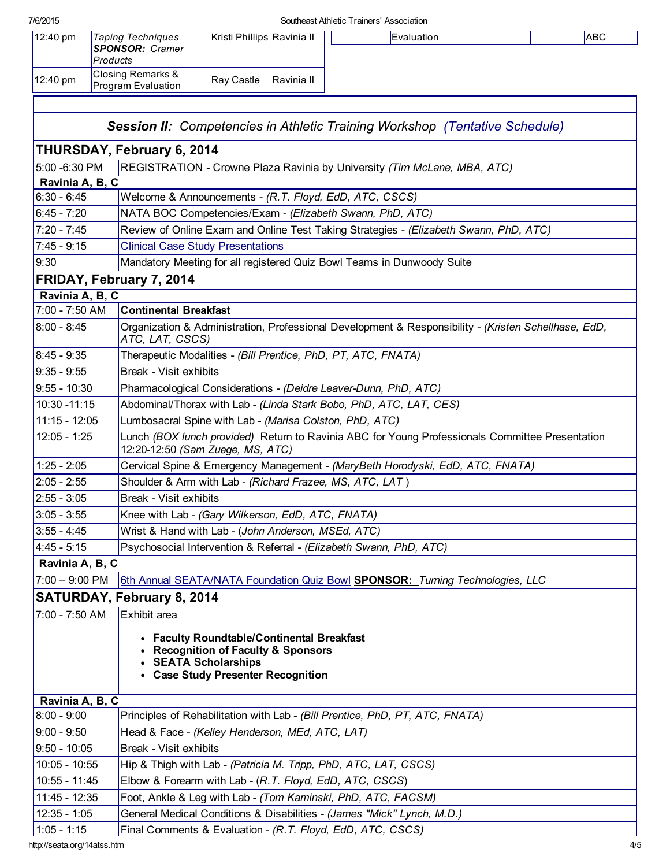#### 7/6/2015 Southeast Athletic Trainers' Association

| <b>Products</b><br>Closing Remarks &<br>Ray Castle<br>Ravinia II<br>Program Evaluation | $12:40 \text{ pm}$ | <b>Taping Techniques</b> | Kristi Phillips Ravinia II |  |
|----------------------------------------------------------------------------------------|--------------------|--------------------------|----------------------------|--|
|                                                                                        |                    | <b>SPONSOR: Cramer</b>   |                            |  |
|                                                                                        | $12:40 \text{ pm}$ |                          |                            |  |

<span id="page-3-0"></span>

| <b>Session II:</b> Competencies in Athletic Training Workshop (Tentative Schedule) |                                                                                                                                                               |  |  |  |  |  |  |
|------------------------------------------------------------------------------------|---------------------------------------------------------------------------------------------------------------------------------------------------------------|--|--|--|--|--|--|
|                                                                                    | THURSDAY, February 6, 2014                                                                                                                                    |  |  |  |  |  |  |
| 5:00 -6:30 PM                                                                      | REGISTRATION - Crowne Plaza Ravinia by University (Tim McLane, MBA, ATC)                                                                                      |  |  |  |  |  |  |
| Ravinia A, B, C                                                                    |                                                                                                                                                               |  |  |  |  |  |  |
| $6:30 - 6:45$                                                                      | Welcome & Announcements - (R.T. Floyd, EdD, ATC, CSCS)                                                                                                        |  |  |  |  |  |  |
| $6:45 - 7:20$                                                                      | NATA BOC Competencies/Exam - (Elizabeth Swann, PhD, ATC)                                                                                                      |  |  |  |  |  |  |
| $7:20 - 7:45$                                                                      | Review of Online Exam and Online Test Taking Strategies - (Elizabeth Swann, PhD, ATC)                                                                         |  |  |  |  |  |  |
| $7:45 - 9:15$                                                                      | <b>Clinical Case Study Presentations</b>                                                                                                                      |  |  |  |  |  |  |
| 9:30                                                                               | Mandatory Meeting for all registered Quiz Bowl Teams in Dunwoody Suite                                                                                        |  |  |  |  |  |  |
|                                                                                    | FRIDAY, February 7, 2014                                                                                                                                      |  |  |  |  |  |  |
| Ravinia A, B, C                                                                    |                                                                                                                                                               |  |  |  |  |  |  |
| 7:00 - 7:50 AM                                                                     | <b>Continental Breakfast</b>                                                                                                                                  |  |  |  |  |  |  |
| $8:00 - 8:45$                                                                      | Organization & Administration, Professional Development & Responsibility - (Kristen Schellhase, EdD,<br>ATC, LAT, CSCS)                                       |  |  |  |  |  |  |
| $8:45 - 9:35$                                                                      | Therapeutic Modalities - (Bill Prentice, PhD, PT, ATC, FNATA)                                                                                                 |  |  |  |  |  |  |
| $9:35 - 9:55$                                                                      | Break - Visit exhibits                                                                                                                                        |  |  |  |  |  |  |
| $9:55 - 10:30$                                                                     | Pharmacological Considerations - (Deidre Leaver-Dunn, PhD, ATC)                                                                                               |  |  |  |  |  |  |
| 10:30 - 11:15                                                                      | Abdominal/Thorax with Lab - (Linda Stark Bobo, PhD, ATC, LAT, CES)                                                                                            |  |  |  |  |  |  |
| $11:15 - 12:05$                                                                    | Lumbosacral Spine with Lab - (Marisa Colston, PhD, ATC)                                                                                                       |  |  |  |  |  |  |
| $12:05 - 1:25$                                                                     | Lunch (BOX lunch provided) Return to Ravinia ABC for Young Professionals Committee Presentation<br>12:20-12:50 (Sam Zuege, MS, ATC)                           |  |  |  |  |  |  |
| $1:25 - 2:05$                                                                      | Cervical Spine & Emergency Management - (MaryBeth Horodyski, EdD, ATC, FNATA)                                                                                 |  |  |  |  |  |  |
| $2:05 - 2:55$                                                                      | Shoulder & Arm with Lab - (Richard Frazee, MS, ATC, LAT)                                                                                                      |  |  |  |  |  |  |
| $2:55 - 3:05$                                                                      | Break - Visit exhibits                                                                                                                                        |  |  |  |  |  |  |
| $3:05 - 3:55$                                                                      | Knee with Lab - (Gary Wilkerson, EdD, ATC, FNATA)                                                                                                             |  |  |  |  |  |  |
| $3:55 - 4:45$                                                                      | Wrist & Hand with Lab - (John Anderson, MSEd, ATC)                                                                                                            |  |  |  |  |  |  |
| $4:45 - 5:15$                                                                      | Psychosocial Intervention & Referral - (Elizabeth Swann, PhD, ATC)                                                                                            |  |  |  |  |  |  |
| Ravinia A, B, C                                                                    |                                                                                                                                                               |  |  |  |  |  |  |
| $7:00 - 9:00$ PM                                                                   | 6th Annual SEATA/NATA Foundation Quiz Bowl SPONSOR: Turning Technologies, LLC                                                                                 |  |  |  |  |  |  |
|                                                                                    | SATURDAY, February 8, 2014                                                                                                                                    |  |  |  |  |  |  |
| 7:00 - 7:50 AM                                                                     | Exhibit area                                                                                                                                                  |  |  |  |  |  |  |
|                                                                                    | • Faculty Roundtable/Continental Breakfast<br><b>Recognition of Faculty &amp; Sponsors</b><br><b>SEATA Scholarships</b><br>• Case Study Presenter Recognition |  |  |  |  |  |  |
| Ravinia A, B, C                                                                    |                                                                                                                                                               |  |  |  |  |  |  |
| $8:00 - 9:00$                                                                      | Principles of Rehabilitation with Lab - (Bill Prentice, PhD, PT, ATC, FNATA)                                                                                  |  |  |  |  |  |  |
| $9:00 - 9:50$                                                                      | Head & Face - (Kelley Henderson, MEd, ATC, LAT)                                                                                                               |  |  |  |  |  |  |
| $9:50 - 10:05$                                                                     | Break - Visit exhibits                                                                                                                                        |  |  |  |  |  |  |
| $10:05 - 10:55$                                                                    | Hip & Thigh with Lab - (Patricia M. Tripp, PhD, ATC, LAT, CSCS)                                                                                               |  |  |  |  |  |  |
| $10:55 - 11:45$                                                                    | Elbow & Forearm with Lab - (R.T. Floyd, EdD, ATC, CSCS)                                                                                                       |  |  |  |  |  |  |
| 11:45 - 12:35                                                                      | Foot, Ankle & Leg with Lab - (Tom Kaminski, PhD, ATC, FACSM)                                                                                                  |  |  |  |  |  |  |
| $12:35 - 1:05$                                                                     | General Medical Conditions & Disabilities - (James "Mick" Lynch, M.D.)                                                                                        |  |  |  |  |  |  |
| $1:05 - 1:15$                                                                      | Final Comments & Evaluation - (R.T. Floyd, EdD, ATC, CSCS)                                                                                                    |  |  |  |  |  |  |